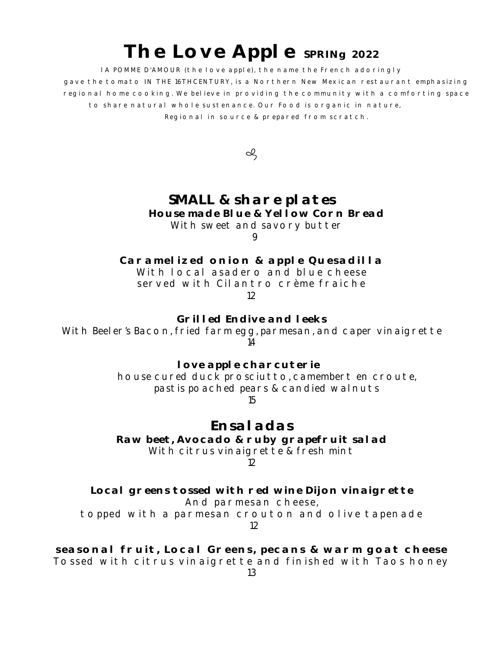## **The Love Apple SPRINg 2022**

lA POMME D'AMOUR (the love apple), the name the French adoringly gave the tomato IN THE 16THCENTURY, is a Northern New Mexican restaurant emphasizing regional home cooking. We believe in providing the community with a comforting space to share natural whole sustenance. Our Food is organic in nature, Regional in source & prepared from scratch.

ol

## **SMALL & share plates House made Blue & Yellow Corn Bread**

With sweet and savory butter

9

Caramelized onion & apple Quesadilla With local asadero and blue cheese served with Cilantro crème fraiche 12

**Grilled Endive and leeks** With Beeler's Bacon, fried farm egg, parmesan, and caper vinaigrette 14

> **love apple charcuterie** house cured duck prosciutto, camembert en croute, pastis poached pears & candied walnuts 15

> > **Ensaladas**

**Raw beet, Avocado & ruby grapefruit salad** With citrus vinaigrette & fresh mint 12

**Local greens tossed with red wine Dijon vinaigrette** And parmesan cheese, topped with a parmesan crouton and olive tapenade 12

**seasonal fruit, Local Greens, pecans & warm goat cheese** Tossed with citrus vinaigrette and finished with Taos honey